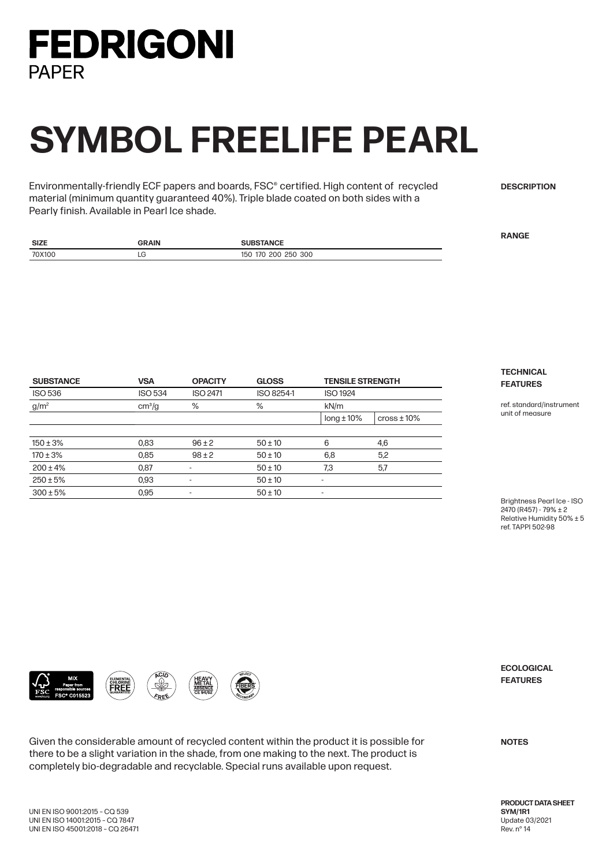

## **SYMBOL FREELIFE PEARL**

Environmentally-friendly ECF papers and boards, FSC® certified. High content of recycled material (minimum quantity guaranteed 40%). Triple blade coated on both sides with a Pearly finish. Available in Pearl Ice shade.

**DESCRIPTION**

**RANGE**

| <b>SIZE</b> | GRAIN | .                           |
|-------------|-------|-----------------------------|
| 70X100      | ᄕ     | 250 300<br>າດດ<br>70<br>150 |

| <b>SUBSTANCE</b> | <b>VSA</b><br><b>ISO 534</b> | <b>OPACITY</b><br><b>ISO 2471</b> | <b>GLOSS</b><br>ISO 8254-1 | <b>TENSILE STRENGTH</b><br><b>ISO 1924</b> |                       |
|------------------|------------------------------|-----------------------------------|----------------------------|--------------------------------------------|-----------------------|
| <b>ISO 536</b>   |                              |                                   |                            |                                            |                       |
| g/m <sup>2</sup> | cm <sup>3</sup> /g           | %                                 | %                          | kN/m                                       |                       |
|                  |                              |                                   |                            | $long \pm 10\%$                            | $\cos\theta \pm 10\%$ |
| $150 \pm 3\%$    | 0.83                         | $96 \pm 2$                        | $50 \pm 10$                | 6                                          | 4,6                   |
| $170 \pm 3\%$    | 0.85                         | $98 + 2$                          | $50 \pm 10$                | 6,8                                        | 5,2                   |
| $200 \pm 4\%$    | 0,87                         | ٠                                 | $50 \pm 10$                | 7,3                                        | 5,7                   |
| $250 \pm 5%$     | 0.93                         | ٠                                 | $50 \pm 10$                | $\overline{\phantom{a}}$                   |                       |
| $300 \pm 5\%$    | 0,95                         | $\overline{\phantom{a}}$          | $50 \pm 10$                | $\overline{\phantom{a}}$                   |                       |

**TECHNICAL FEATURES**

ref. standard/instrument unit of measure

Brightness Pearl Ice - ISO 2470 (R457) - 79% ± 2 Relative Humidity 50% ± 5 ref. TAPPI 502-98





Given the considerable amount of recycled content within the product it is possible for there to be a slight variation in the shade, from one making to the next. The product is completely bio-degradable and recyclable. Special runs available upon request.

**ECOLOGICAL FEATURES**

**NOTES**

**PRODUCT DATA SHEET SYM/1R1** Update 03/2021 Rev. n° 14